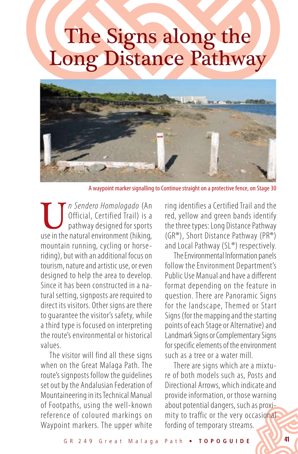## The Signs along the Long Distance Pathway



A waypoint marker signalling to Continue straight on a protective fence, on Stage 30

**U** *n Sendero Homologado* (An *Official, Certified Trail) is a* pathway designed for sports use in the natural environment (hiking, Official, Certified Trail) is a pathway designed for sports mountain running, cycling or horseriding), but with an additional focus on tourism, nature and artistic use, or even designed to help the area to develop. Since it has been constructed in a natural setting, signposts are required to direct its visitors. Other signs are there to guarantee the visitor's safety, while a third type is focused on interpreting the route's environmental or historical values.

The visitor will find all these signs when on the Great Malaga Path. The route's signposts follow the guidelines set out by the Andalusian Federation of Mountaineering in its Technical Manual of Footpaths, using the well-known reference of coloured markings on Waypoint markers. The upper white

ring identifies a Certified Trail and the red, yellow and green bands identify the three types: Long Distance Pathway (GR®), Short Distance Pathway (PR®) and Local Pathway (SL®) respectively.

The Environmental Information panels follow the Environment Department's Public Use Manual and have a different format depending on the feature in question. There are Panoramic Signs for the landscape, Themed or Start Signs (for the mapping and the starting points of each Stage or Alternative) and Landmark Signs or Complementary Signs for specific elements of the environment such as a tree or a water mill.

There are signs which are a mixture of both models such as, Posts and Directional Arrows, which indicate and provide information, or those warning about potential dangers, such as proximity to traffic or the very occasional fording of temporary streams.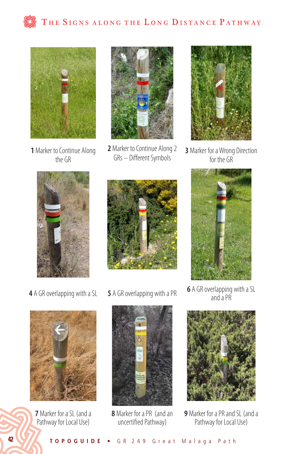



**1** Marker to Continue Along the GR



**2** Marker to Continue Along 2 GRs – Different Symbols



**3** Marker for a Wrong Direction for the GR







**<sup>4</sup>** A GR overlapping with a SL **<sup>5</sup>** A GR overlapping with a PR **<sup>6</sup>** A GR overlapping with a SL and a PR



**9** Marker for a PR and SL (and a Pathway for Local Use)



**7** Marker for a SL (and a Pathway for Local Use)